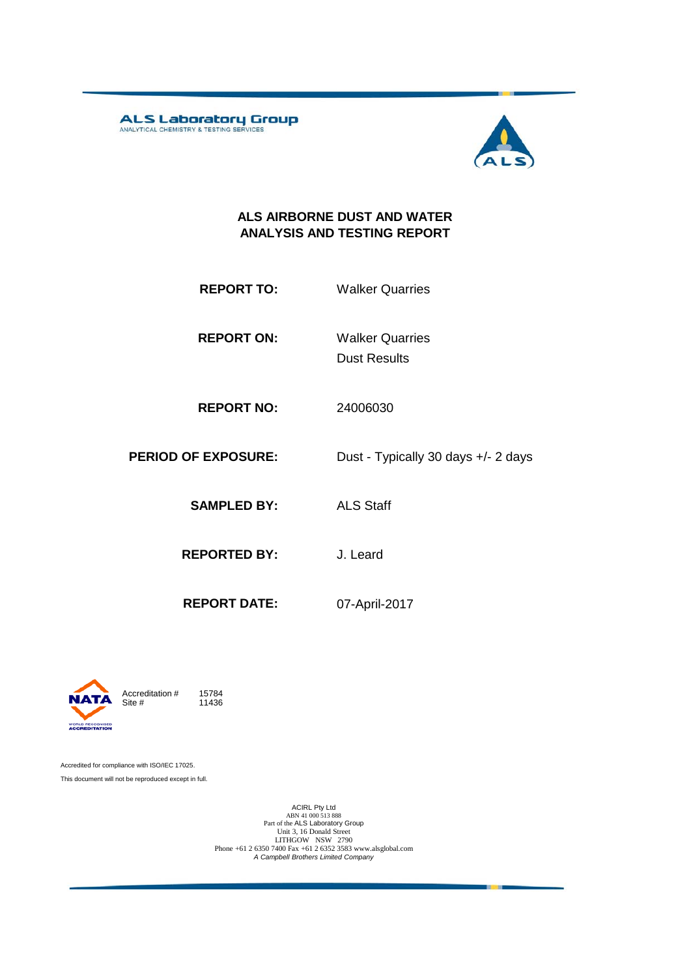**ALS Laboratory Group** 



#### **ALS AIRBORNE DUST AND WATER ANALYSIS AND TESTING REPORT**

- **REPORT TO:** Walker Quarries
- **REPORT ON:** Dust Results Walker Quarries
- **REPORT NO:** 24006030
- **PERIOD OF EXPOSURE:** Dust Typically 30 days +/- 2 days
	- **SAMPLED BY:** ALS Staff
	- **REPORTED BY:** J. Leard
		-
	- **REPORT DATE:** 07-April-2017



11436

Accredited for compliance with ISO/IEC 17025. This document will not be reproduced except in full.

ACIRL Pty Ltd<br>
ABN 41 000 513 888<br>
Part of the ALS Laboratory Group<br>
Unit 3, 16 Donald Street<br>
LITHGOW NSW 2790<br>
Phone +61 2 6350 7400 Fax +61 2 6352 3583 www.alsglobal.com<br> *A Campbell Brothers Limited Company*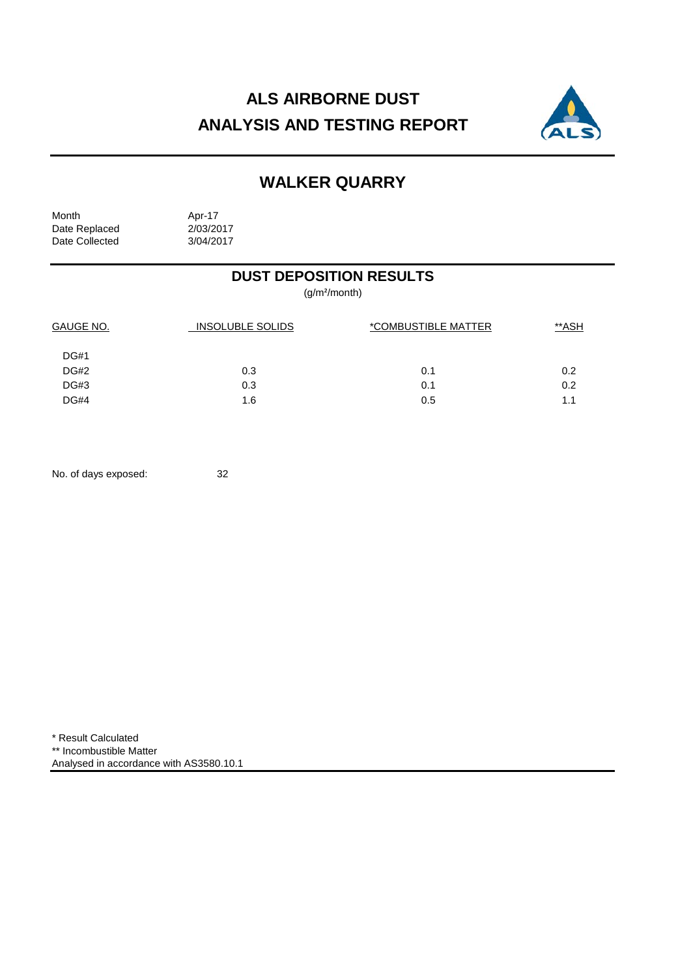# **ALS AIRBORNE DUST ANALYSIS AND TESTING REPORT**



## **WALKER QUARRY**

Month Apr-17<br>Date Replaced 2/03/2017 Date Replaced 2/03/2017<br>Date Collected 3/04/2017 Date Collected

### **DUST DEPOSITION RESULTS**

(g/m²/month)

| GAUGE NO.   | INSOLUBLE SOLIDS | *COMBUSTIBLE MATTER |     |
|-------------|------------------|---------------------|-----|
| <b>DG#1</b> |                  |                     |     |
| <b>DG#2</b> | 0.3              | 0.1                 | 0.2 |
| <b>DG#3</b> | 0.3              | 0.1                 | 0.2 |
| <b>DG#4</b> | 1.6              | 0.5                 | 1.1 |

No. of days exposed: 32

\* Result Calculated \*\* Incombustible Matter Analysed in accordance with AS3580.10.1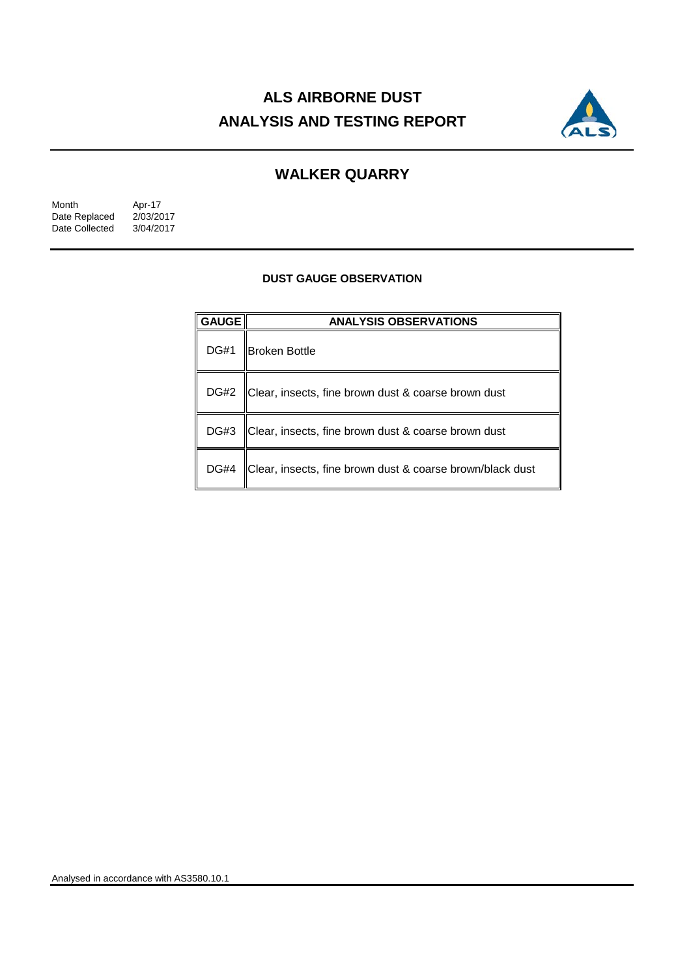# **ALS AIRBORNE DUST ANALYSIS AND TESTING REPORT**



### **WALKER QUARRY**

| Month          | Apr-17    |
|----------------|-----------|
| Date Replaced  | 2/03/2017 |
| Date Collected | 3/04/2017 |

#### **DUST GAUGE OBSERVATION**

| <b>GAUGE</b> | <b>ANALYSIS OBSERVATIONS</b>                              |  |  |
|--------------|-----------------------------------------------------------|--|--|
| <b>DG#1</b>  | <b>Broken Bottle</b>                                      |  |  |
| DG#2         | Clear, insects, fine brown dust & coarse brown dust       |  |  |
| DG#3         | Clear, insects, fine brown dust & coarse brown dust       |  |  |
| <b>DG#4</b>  | Clear, insects, fine brown dust & coarse brown/black dust |  |  |